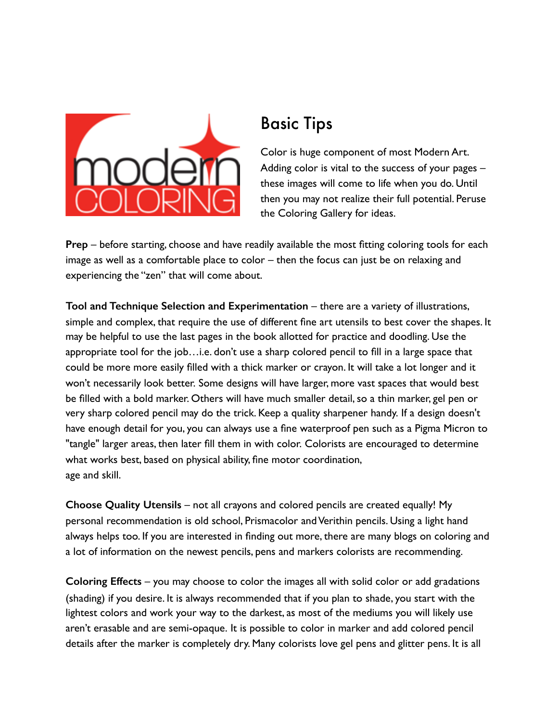

## Basic Tips

Color is huge component of most Modern Art. Adding color is vital to the success of your pages – these images will come to life when you do. Until then you may not realize their full potential. Peruse the Coloring Gallery for ideas.

**Prep** – before starting, choose and have readily available the most fitting coloring tools for each image as well as a comfortable place to color – then the focus can just be on relaxing and experiencing the "zen" that will come about.

**Tool and Technique Selection and Experimentation** – there are a variety of illustrations, simple and complex, that require the use of different fine art utensils to best cover the shapes. It may be helpful to use the last pages in the book allotted for practice and doodling. Use the appropriate tool for the job…i.e. don't use a sharp colored pencil to fill in a large space that could be more more easily filled with a thick marker or crayon. It will take a lot longer and it won't necessarily look better. Some designs will have larger, more vast spaces that would best be filled with a bold marker. Others will have much smaller detail, so a thin marker, gel pen or very sharp colored pencil may do the trick. Keep a quality sharpener handy. If a design doesn't have enough detail for you, you can always use a fine waterproof pen such as a Pigma Micron to "tangle" larger areas, then later fill them in with color. Colorists are encouraged to determine what works best, based on physical ability, fine motor coordination, age and skill.

**Choose Quality Utensils** – not all crayons and colored pencils are created equally! My personal recommendation is old school, Prismacolor and Verithin pencils. Using a light hand always helps too. If you are interested in finding out more, there are many blogs on coloring and a lot of information on the newest pencils, pens and markers colorists are recommending.

**Coloring Effects** – you may choose to color the images all with solid color or add gradations (shading) if you desire. It is always recommended that if you plan to shade, you start with the lightest colors and work your way to the darkest, as most of the mediums you will likely use aren't erasable and are semi-opaque. It is possible to color in marker and add colored pencil details after the marker is completely dry. Many colorists love gel pens and glitter pens. It is all